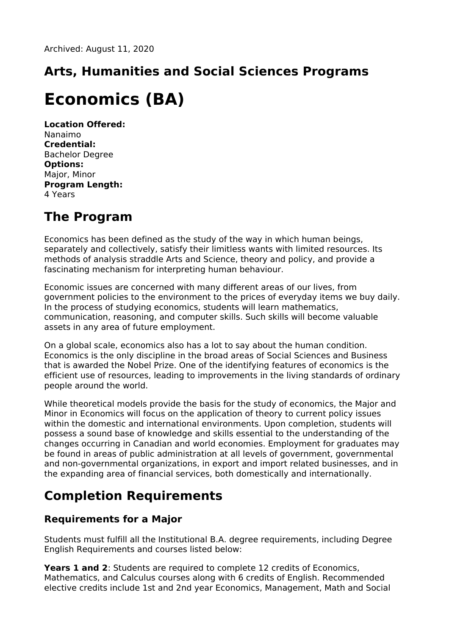## **Arts, Humanities and Social Sciences Programs**

# **Economics (BA)**

**Location Offered:** Nanaimo **Credential:** Bachelor Degree **Options:** Major, Minor **Program Length:** 4 Years

## **The Program**

Economics has been defined as the study of the way in which human beings, separately and collectively, satisfy their limitless wants with limited resources. Its methods of analysis straddle Arts and Science, theory and policy, and provide a fascinating mechanism for interpreting human behaviour.

Economic issues are concerned with many different areas of our lives, from government policies to the environment to the prices of everyday items we buy daily. In the process of studying economics, students will learn mathematics, communication, reasoning, and computer skills. Such skills will become valuable assets in any area of future employment.

On a global scale, economics also has a lot to say about the human condition. Economics is the only discipline in the broad areas of Social Sciences and Business that is awarded the Nobel Prize. One of the identifying features of economics is the efficient use of resources, leading to improvements in the living standards of ordinary people around the world.

While theoretical models provide the basis for the study of economics, the Major and Minor in Economics will focus on the application of theory to current policy issues within the domestic and international environments. Upon completion, students will possess a sound base of knowledge and skills essential to the understanding of the changes occurring in Canadian and world economies. Employment for graduates may be found in areas of public administration at all levels of government, governmental and non-governmental organizations, in export and import related businesses, and in the expanding area of financial services, both domestically and internationally.

## **Completion Requirements**

### **Requirements for a Major**

Students must fulfill all the Institutional B.A. degree requirements, including Degree English Requirements and courses listed below:

**Years 1 and 2**: Students are required to complete 12 credits of Economics, Mathematics, and Calculus courses along with 6 credits of English. Recommended elective credits include 1st and 2nd year Economics, Management, Math and Social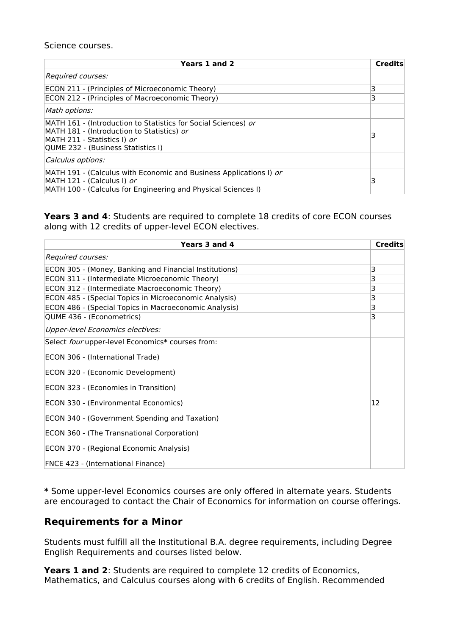#### Science courses.

| Years 1 and 2                                                                                                                                                                     | <b>Credits</b> |
|-----------------------------------------------------------------------------------------------------------------------------------------------------------------------------------|----------------|
| Required courses:                                                                                                                                                                 |                |
| ECON 211 - (Principles of Microeconomic Theory)                                                                                                                                   | 3              |
| <b>ECON 212 - (Principles of Macroeconomic Theory)</b>                                                                                                                            | 3              |
| Math options:                                                                                                                                                                     |                |
| MATH 161 - (Introduction to Statistics for Social Sciences) or<br>MATH 181 - (Introduction to Statistics) or<br>MATH 211 - Statistics I) or<br>QUME 232 - (Business Statistics I) |                |
| Calculus options:                                                                                                                                                                 |                |
| MATH 191 - (Calculus with Economic and Business Applications I) or<br>MATH 121 - (Calculus I) or<br>MATH 100 - (Calculus for Engineering and Physical Sciences I)                 | 3              |

**Years 3 and 4**: Students are required to complete 18 credits of core ECON courses along with 12 credits of upper-level ECON electives.

| Years 3 and 4                                          | <b>Credits</b> |
|--------------------------------------------------------|----------------|
| Required courses:                                      |                |
| ECON 305 - (Money, Banking and Financial Institutions) | 3              |
| ECON 311 - (Intermediate Microeconomic Theory)         | 3              |
| ECON 312 - (Intermediate Macroeconomic Theory)         | 3              |
| ECON 485 - (Special Topics in Microeconomic Analysis)  | 3              |
| ECON 486 - (Special Topics in Macroeconomic Analysis)  | 3              |
| QUME 436 - (Econometrics)                              | 3              |
| <b>Upper-level Economics electives:</b>                |                |
| Select four upper-level Economics* courses from:       |                |
| ECON 306 - (International Trade)                       |                |
| ECON 320 - (Economic Development)                      |                |
| ECON 323 - (Economies in Transition)                   |                |
| ECON 330 - (Environmental Economics)                   | 12             |
| ECON 340 - (Government Spending and Taxation)          |                |
| ECON 360 - (The Transnational Corporation)             |                |
| ECON 370 - (Regional Economic Analysis)                |                |
| FNCE 423 - (International Finance)                     |                |

**\*** Some upper-level Economics courses are only offered in alternate years. Students are encouraged to contact the Chair of Economics for information on course offerings.

#### **Requirements for a Minor**

Students must fulfill all the Institutional B.A. degree requirements, including Degree English Requirements and courses listed below.

**Years 1 and 2**: Students are required to complete 12 credits of Economics, Mathematics, and Calculus courses along with 6 credits of English. Recommended